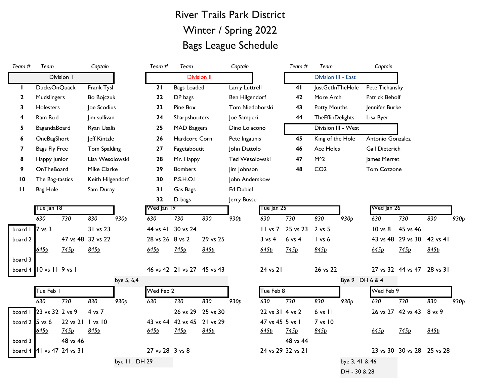## River Trails Park District Winter / Spring 2022 Bags League Schedule

| Team $#$             | Team                     |                  | Captain            |                  | Team#           | Team                       |                    | Captain          |                   | Team#             | Team                    |                  | Captain          |                            |                  |      |
|----------------------|--------------------------|------------------|--------------------|------------------|-----------------|----------------------------|--------------------|------------------|-------------------|-------------------|-------------------------|------------------|------------------|----------------------------|------------------|------|
|                      |                          | Division 1       |                    |                  |                 |                            | <b>Division II</b> |                  |                   |                   | Division III - East     |                  |                  |                            |                  |      |
| $\mathbf{L}$         | <b>DucksOnQuack</b>      |                  | Frank Tysl         |                  | 21              | Bags Loaded                |                    | Larry Luttrell   |                   | 41                | JustGetInTheHole        |                  | Pete Tichansky   |                            |                  |      |
| $\mathbf{2}$         | Mudslingers              |                  | <b>Bo Bojczuk</b>  |                  | 22              | DP bags                    |                    | Ben Hilgendorf   |                   | 42                | More Arch               |                  | Patrick Beholf   |                            |                  |      |
| 3                    | <b>Holesters</b>         |                  | Joe Scodius        |                  | 23              | Pine Box                   |                    | Tom Niedoborski  |                   | 43                | <b>Potty Mouths</b>     |                  | Jennifer Burke   |                            |                  |      |
|                      | Ram Rod                  |                  | Jim sullivan       |                  | 24              | Sharpshooters              |                    | Joe Samperi      |                   | 44                | <b>TheEffinDelights</b> |                  | Lisa Byer        |                            |                  |      |
| 5                    | BagandaBoard             |                  | Ryan Usalis        |                  | 25              | <b>MAD Baggers</b>         |                    | Dino Loiacono    |                   |                   | Division III - West     |                  |                  |                            |                  |      |
| 6                    | OneBagShort              |                  | Jeff Kintzle       |                  | 26              | Hardcore Corn              |                    | Pete Ingaunis    |                   | 45                | King of the Hole        |                  | Antonio Gonzalez |                            |                  |      |
| 7                    | Bags Fly Free            |                  | Tom Spalding       |                  | 27              | Fagetaboutit               |                    | John Dattolo     |                   | 46                | Ace Holes               |                  | Gail Dieterich   |                            |                  |      |
| 8                    | Happy Junior             |                  | Lisa Wesolowski    |                  | 28              | Mr. Happy                  |                    | Ted Wesolowski   |                   | 47                | $M^2$                   |                  | James Merret     |                            |                  |      |
| 9                    | OnTheBoard               |                  | Mike Clarke        |                  | 29              | <b>Bombers</b>             |                    | Jim Johnson      |                   | 48                | CO <sub>2</sub>         |                  | Tom Cozzone      |                            |                  |      |
| 10                   | The Bag-tastics          |                  | Keith Hilgendorf   |                  | 30              | <b>P.S.H.O.I</b>           |                    | John Anderskow   |                   |                   |                         |                  |                  |                            |                  |      |
| $\mathbf{H}$         | Bag Hole                 |                  | Sam Duray          |                  | 31              | Gas Bags                   |                    | <b>Ed Dubiel</b> |                   |                   |                         |                  |                  |                            |                  |      |
|                      |                          |                  |                    |                  | 32              | D-bags                     |                    | Jerry Busse      |                   |                   |                         |                  |                  |                            |                  |      |
|                      | Tue Jan 18               |                  |                    |                  | Wed Jan 19      |                            |                    |                  | I ue Jan 25       |                   |                         |                  | Wed Jan 26       |                            |                  |      |
|                      | 630                      | 730              | 830                | 930 <sub>p</sub> | 630             | 730                        | 830                | 930 <sub>p</sub> | 630               | 730               | 830                     | 930 <sub>p</sub> | 630              | 730                        | 830              | 930p |
| board $\vert$ 7 vs 3 |                          |                  | 31 vs 23           |                  |                 | 44 vs 41 30 vs 24          |                    |                  | $II$ vs $7$       | 25 vs 23          | 2 vs 5                  |                  | 10 vs 8          | 45 vs 46                   |                  |      |
| board 2              |                          |                  | 47 vs 48 32 vs 22  |                  | 28 vs 26 8 vs 2 |                            | 29 vs 25           |                  | $3 \text{ vs } 4$ | $6$ vs $4$        | $l$ vs $6$              |                  | 43 vs 48         | 29 vs 30                   | 42 vs 41         |      |
|                      | 645 <sub>D</sub>         | 745 <sub>b</sub> | 845p               |                  | 645p            | 745p                       | 845p               |                  | 645 <sub>D</sub>  | 745 <sub>D</sub>  | 845p                    |                  | 645 <sub>D</sub> | 745p                       | 845 <sub>D</sub> |      |
| board 3              |                          |                  |                    |                  |                 |                            |                    |                  |                   |                   |                         |                  |                  |                            |                  |      |
|                      | board 4 10 vs 11 9 vs 1  |                  |                    |                  |                 | 46 vs 42 21 vs 27 45 vs 43 |                    |                  | 24 vs 21          |                   | 26 vs 22                |                  |                  | 27 vs 32 44 vs 47 28 vs 31 |                  |      |
|                      |                          |                  |                    | bye 5, 6,4       |                 |                            |                    |                  |                   |                   |                         |                  | Bye 9 DH 6 & 4   |                            |                  |      |
|                      | Tue Feb I                |                  |                    |                  | Wed Feb 2       |                            |                    |                  | Tue Feb 8         |                   |                         |                  | Wed Feb 9        |                            |                  |      |
|                      | 630                      | 730              | 830                | 930 <sub>p</sub> | 630             | 730                        | 830                | 930 <sub>p</sub> | 630               | 730               | 830                     | 930 <sub>p</sub> | 630              | 730                        | 830              | 930p |
|                      | board 1 23 vs 32 2 vs 9  |                  | 4 vs 7             |                  |                 | 26 vs 29                   | 25 vs 30           |                  | 22 vs 31 4 vs 2   |                   | $6$ vs $11$             |                  |                  | 26 vs 27 42 vs 43          | 8 vs 9           |      |
| board $2$ 5 vs 6     |                          | 22 vs 21         | $\sqrt{1}$ vs $10$ |                  |                 | 43 vs 44 42 vs 45          | 21 vs 29           |                  | 47 vs 45 5 vs 1   |                   | 7 vs 10                 |                  |                  |                            |                  |      |
|                      | 645p                     | 745 <sub>D</sub> | 845p               |                  | 645p            | 745p                       | 845p               |                  | 645p              | 745p              | 845p                    |                  | 645p             | 745p                       | 845p             |      |
| board 3              |                          | 48 vs 46         |                    |                  |                 |                            |                    |                  |                   | 48 vs 44          |                         |                  |                  |                            |                  |      |
|                      | board 4 4 vs 47 24 vs 31 |                  |                    |                  | 27 vs 28 3 vs 8 |                            |                    |                  |                   | 24 vs 29 32 vs 21 |                         |                  |                  | 23 vs 30 30 vs 28 25 vs 28 |                  |      |
|                      |                          |                  |                    | bye II, DH 29    |                 |                            |                    |                  |                   |                   |                         | bye 3, 41 & 46   |                  |                            |                  |      |
|                      |                          |                  |                    |                  |                 |                            |                    |                  |                   |                   |                         | DH - 30 & 28     |                  |                            |                  |      |
|                      |                          |                  |                    |                  |                 |                            |                    |                  |                   |                   |                         |                  |                  |                            |                  |      |